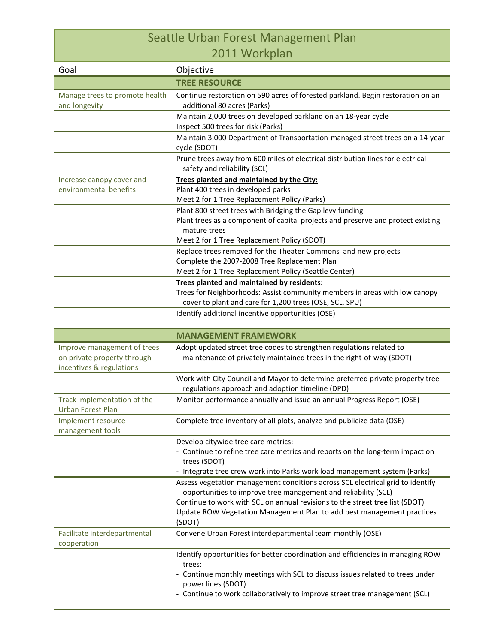## Seattle Urban Forest Management Plan 2011 Workplan

| Goal                                                                                   | Objective                                                                                                                                                                                                                                                                                                                                                                                         |
|----------------------------------------------------------------------------------------|---------------------------------------------------------------------------------------------------------------------------------------------------------------------------------------------------------------------------------------------------------------------------------------------------------------------------------------------------------------------------------------------------|
|                                                                                        | <b>TREE RESOURCE</b>                                                                                                                                                                                                                                                                                                                                                                              |
| Manage trees to promote health<br>and longevity                                        | Continue restoration on 590 acres of forested parkland. Begin restoration on an<br>additional 80 acres (Parks)                                                                                                                                                                                                                                                                                    |
|                                                                                        | Maintain 2,000 trees on developed parkland on an 18-year cycle<br>Inspect 500 trees for risk (Parks)                                                                                                                                                                                                                                                                                              |
|                                                                                        | Maintain 3,000 Department of Transportation-managed street trees on a 14-year<br>cycle (SDOT)                                                                                                                                                                                                                                                                                                     |
|                                                                                        | Prune trees away from 600 miles of electrical distribution lines for electrical<br>safety and reliability (SCL)                                                                                                                                                                                                                                                                                   |
| Increase canopy cover and<br>environmental benefits                                    | Trees planted and maintained by the City:<br>Plant 400 trees in developed parks<br>Meet 2 for 1 Tree Replacement Policy (Parks)                                                                                                                                                                                                                                                                   |
|                                                                                        | Plant 800 street trees with Bridging the Gap levy funding<br>Plant trees as a component of capital projects and preserve and protect existing<br>mature trees                                                                                                                                                                                                                                     |
|                                                                                        | Meet 2 for 1 Tree Replacement Policy (SDOT)<br>Replace trees removed for the Theater Commons and new projects<br>Complete the 2007-2008 Tree Replacement Plan<br>Meet 2 for 1 Tree Replacement Policy (Seattle Center)                                                                                                                                                                            |
|                                                                                        | Trees planted and maintained by residents:<br>Trees for Neighborhoods: Assist community members in areas with low canopy<br>cover to plant and care for 1,200 trees (OSE, SCL, SPU)                                                                                                                                                                                                               |
|                                                                                        | Identify additional incentive opportunities (OSE)                                                                                                                                                                                                                                                                                                                                                 |
|                                                                                        | <b>MANAGEMENT FRAMEWORK</b>                                                                                                                                                                                                                                                                                                                                                                       |
| Improve management of trees<br>on private property through<br>incentives & regulations | Adopt updated street tree codes to strengthen regulations related to<br>maintenance of privately maintained trees in the right-of-way (SDOT)                                                                                                                                                                                                                                                      |
|                                                                                        | Work with City Council and Mayor to determine preferred private property tree<br>regulations approach and adoption timeline (DPD)                                                                                                                                                                                                                                                                 |
| Track implementation of the<br><b>Urban Forest Plan</b>                                | Monitor performance annually and issue an annual Progress Report (OSE)                                                                                                                                                                                                                                                                                                                            |
| Implement resource<br>management tools                                                 | Complete tree inventory of all plots, analyze and publicize data (OSE)                                                                                                                                                                                                                                                                                                                            |
|                                                                                        | Develop citywide tree care metrics:<br>- Continue to refine tree care metrics and reports on the long-term impact on<br>trees (SDOT)                                                                                                                                                                                                                                                              |
|                                                                                        | - Integrate tree crew work into Parks work load management system (Parks)<br>Assess vegetation management conditions across SCL electrical grid to identify<br>opportunities to improve tree management and reliability (SCL)<br>Continue to work with SCL on annual revisions to the street tree list (SDOT)<br>Update ROW Vegetation Management Plan to add best management practices<br>(SDOT) |
| Facilitate interdepartmental<br>cooperation                                            | Convene Urban Forest interdepartmental team monthly (OSE)                                                                                                                                                                                                                                                                                                                                         |
|                                                                                        | Identify opportunities for better coordination and efficiencies in managing ROW<br>trees:<br>- Continue monthly meetings with SCL to discuss issues related to trees under<br>power lines (SDOT)<br>- Continue to work collaboratively to improve street tree management (SCL)                                                                                                                    |